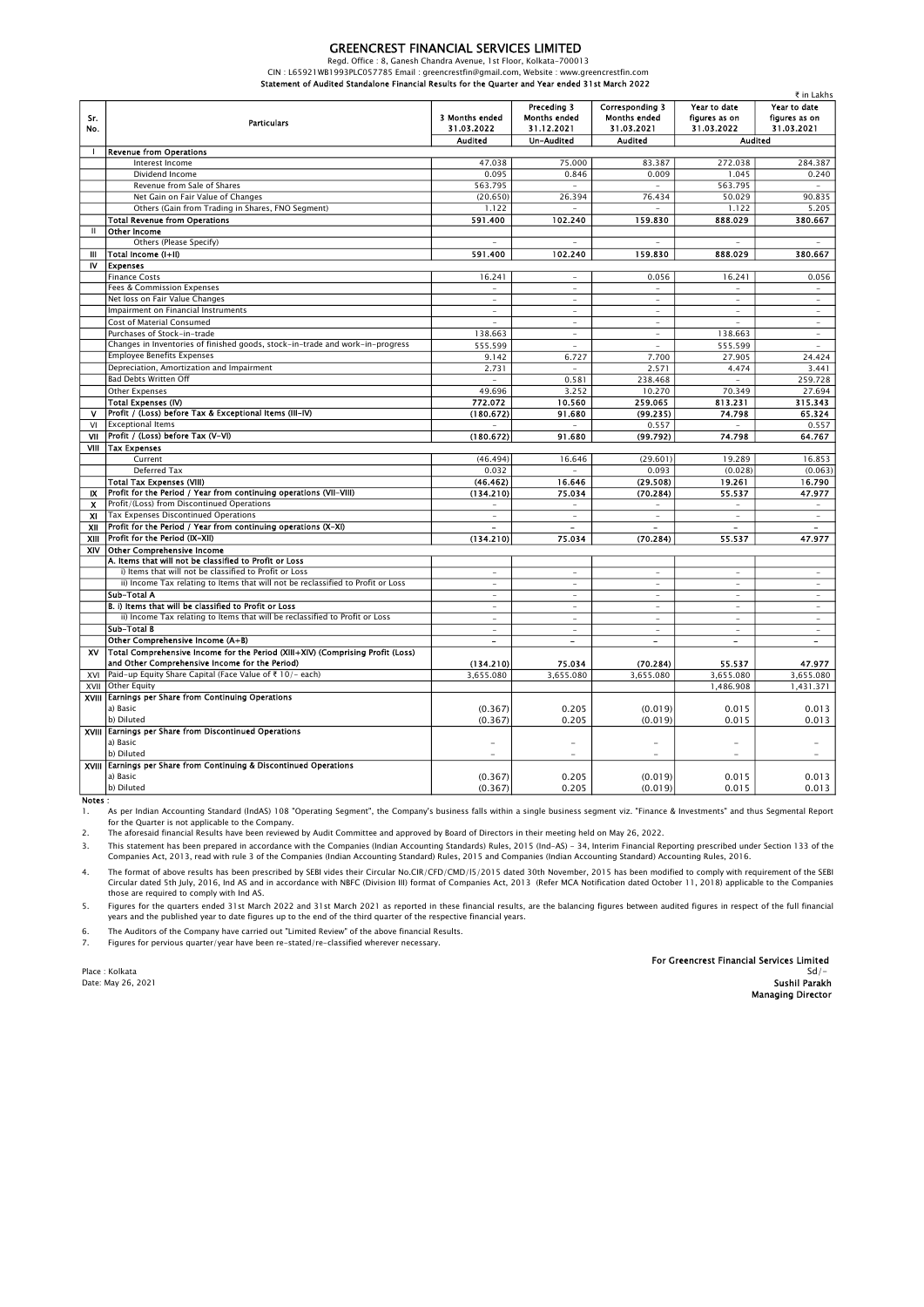## GREENCREST FINANCIAL SERVICES LIMITED

Regd. Office : 8, Ganesh Chandra Avenue, 1st Floor, Kolkata-700013 CIN : L65921WB1993PLC057785 Email : greencrestfin@gmail.com, Website : www.greencrestfin.com Statement of Audited Standalone Financial Results for the Quarter and Year ended 31st March 2022

| Sr.<br>No.   | <b>Particulars</b>                                                                                         | 3 Months ended<br>31.03.2022 | Preceding 3<br><b>Months ended</b><br>31.12.2021 | <b>Corresponding 3</b><br><b>Months ended</b><br>31.03.2021 | Year to date<br>figures as on<br>31.03.2022 | Year to date<br>figures as on<br>31.03.2021 |
|--------------|------------------------------------------------------------------------------------------------------------|------------------------------|--------------------------------------------------|-------------------------------------------------------------|---------------------------------------------|---------------------------------------------|
|              |                                                                                                            | <b>Audited</b>               | Un-Audited                                       | <b>Audited</b>                                              | <b>Audited</b>                              |                                             |
| $\mathbf{I}$ | <b>Revenue from Operations</b>                                                                             |                              |                                                  |                                                             |                                             |                                             |
|              | Interest Income                                                                                            | 47.038                       | 75.000                                           | 83.387                                                      | 272.038                                     | 284.387                                     |
|              | Dividend Income                                                                                            | 0.095                        | 0.846                                            | 0.009                                                       | 1.045                                       | 0.240                                       |
|              | Revenue from Sale of Shares                                                                                | 563.795                      | $\overline{\phantom{a}}$                         | $\overline{\phantom{a}}$                                    | 563.795                                     |                                             |
|              | Net Gain on Fair Value of Changes                                                                          | (20.650)                     | 26.394                                           | 76.434                                                      | 50.029                                      | 90.835                                      |
|              | Others (Gain from Trading in Shares, FNO Segment)                                                          | 1.122                        | ٠                                                | ٠                                                           | 1.122                                       | 5.205                                       |
|              | <b>Total Revenue from Operations</b>                                                                       | 591.400                      | 102.240                                          | 159.830                                                     | 888.029                                     | 380.667                                     |
| $\mathbf{H}$ | <b>Other Income</b>                                                                                        |                              |                                                  |                                                             |                                             |                                             |
|              | Others (Please Specify)                                                                                    |                              |                                                  | ٠                                                           |                                             |                                             |
| Ш            | Total Income (I+II)                                                                                        | 591.400                      | 102.240                                          | 159.830                                                     | 888.029                                     | 380.667                                     |
| IV           | <b>Expenses</b>                                                                                            |                              |                                                  |                                                             |                                             |                                             |
|              | <b>Finance Costs</b>                                                                                       | 16.241                       |                                                  | 0.056                                                       | 16.241                                      | 0.056                                       |
|              | Fees & Commission Expenses                                                                                 |                              |                                                  | $\overline{\phantom{a}}$                                    |                                             | -                                           |
|              | Net loss on Fair Value Changes                                                                             | ÷                            | ÷                                                | ×.                                                          | ÷.                                          | ×.                                          |
|              | Impairment on Financial Instruments                                                                        | ÷                            | ×.                                               | ×.                                                          | ÷.                                          | ×.                                          |
|              | Cost of Material Consumed                                                                                  | ÷.                           | $\overline{\phantom{a}}$                         | $\overline{\phantom{a}}$                                    | ÷.                                          | $\overline{\phantom{a}}$                    |
|              | Purchases of Stock-in-trade                                                                                | 138.663                      | ×.                                               | ×.                                                          | 138.663                                     | ٠                                           |
|              | Changes in Inventories of finished goods, stock-in-trade and work-in-progress                              | 555.599                      | $\overline{\phantom{a}}$                         | $\overline{\phantom{a}}$                                    | 555.599                                     | $\overline{\phantom{a}}$                    |
|              | <b>Employee Benefits Expenses</b>                                                                          | 9.142                        | 6.727                                            | 7.700                                                       | 27.905                                      | 24.424                                      |
|              | Depreciation, Amortization and Impairment                                                                  | 2.731                        | ×.                                               | 2.571                                                       | 4.474                                       | 3.441                                       |
|              | Bad Debts Written Off                                                                                      | ÷.                           | 0.581                                            | 238.468                                                     | ÷                                           | 259.728                                     |
|              | <b>Other Expenses</b>                                                                                      | 49.696                       | 3.252                                            | 10.270                                                      | 70.349                                      | 27.694                                      |
|              | Total Expenses (IV)                                                                                        | 772.072                      | 10.560                                           | 259.065                                                     | 813.231                                     | 315.343                                     |
| v            | Profit / (Loss) before Tax & Exceptional Items (III-IV)                                                    | (180.672)                    | 91.680                                           | (99.235)                                                    | 74.798                                      | 65.324                                      |
| VI           | <b>Exceptional Items</b>                                                                                   |                              |                                                  | 0.557                                                       |                                             | 0.557                                       |
| VII          | Profit / (Loss) before Tax (V-VI)                                                                          | (180.672)                    | 91.680                                           | (99.792)                                                    | 74.798                                      | 64.767                                      |
|              | VIII   Tax Expenses                                                                                        |                              |                                                  |                                                             |                                             |                                             |
|              | Current                                                                                                    | (46.494)                     | 16.646                                           | (29.601)                                                    | 19.289                                      | 16.853                                      |
|              | Deferred Tax                                                                                               | 0.032                        | ×.                                               | 0.093                                                       | (0.028)                                     | (0.063)                                     |
|              | <b>Total Tax Expenses (VIII)</b>                                                                           | (46.462)                     | 16.646                                           | (29.508)                                                    | 19.261                                      | 16.790                                      |
| <b>IX</b>    | Profit for the Period / Year from continuing operations (VII-VIII)                                         | (134.210)                    | 75.034                                           | (70.284)                                                    | 55.537                                      | 47.977                                      |
| x            | Profit/(Loss) from Discontinued Operations                                                                 | $\bar{ }$                    | $\overline{\phantom{a}}$                         | $\overline{\phantom{a}}$                                    | $\bar{ }$                                   |                                             |
| <b>XI</b>    | Tax Expenses Discontinued Operations                                                                       | $\overline{\phantom{a}}$     | $\sim$                                           | $\sim$                                                      | $\bar{a}$                                   | ÷                                           |
| XII          | Profit for the Period / Year from continuing operations (X-XI)                                             | $\overline{\phantom{a}}$     | $\overline{\phantom{a}}$                         | $\blacksquare$                                              | $\blacksquare$                              | $\overline{a}$                              |
| XIII         | Profit for the Period (IX-XII)                                                                             | (134.210)                    | 75.034                                           | (70.284)                                                    | 55.537                                      | 47.977                                      |
| XIV          | <b>Other Comprehensive Income</b>                                                                          |                              |                                                  |                                                             |                                             |                                             |
|              | A. Items that will not be classified to Profit or Loss                                                     |                              |                                                  |                                                             |                                             |                                             |
|              | i) Items that will not be classified to Profit or Loss                                                     | ٠                            | ٠                                                | $\sim$                                                      | ٠                                           | $\overline{\phantom{m}}$                    |
|              | ii) Income Tax relating to Items that will not be reclassified to Profit or Loss                           | $\overline{\phantom{a}}$     | $\overline{\phantom{a}}$                         | $\sim$                                                      | $\overline{\phantom{m}}$                    | $\overline{\phantom{a}}$                    |
|              | Sub-Total A                                                                                                | $\overline{\phantom{a}}$     | $\sim$                                           | $\bar{a}$                                                   | $\bar{a}$                                   | $\sim$                                      |
|              | B. i) Items that will be classified to Profit or Loss                                                      | ä,                           | ÷.                                               | ٠                                                           | ٠                                           | ٠                                           |
|              | ii) Income Tax relating to Items that will be reclassified to Profit or Loss                               | ÷                            | $\sim$                                           | $\bar{a}$                                                   | $\bar{a}$                                   | $\bar{a}$                                   |
|              | Sub-Total B                                                                                                | ä,                           | $\overline{\phantom{a}}$                         | ٠                                                           | $\bar{\phantom{a}}$                         | $\bar{\phantom{a}}$                         |
|              | Other Comprehensive Income (A+B)                                                                           | $\sim$                       | $\sim$                                           | $\sim$                                                      | $\blacksquare$                              | $\sim$                                      |
|              |                                                                                                            |                              |                                                  |                                                             |                                             |                                             |
| XV           | Total Comprehensive Income for the Period (XIII+XIV) (Comprising Profit (Loss)                             |                              |                                                  |                                                             |                                             |                                             |
|              | and Other Comprehensive Income for the Period)<br>Paid-up Equity Share Capital (Face Value of ₹ 10/- each) | (134.210)                    | 75.034                                           | (70.284)                                                    | 55.537                                      | 47.977                                      |
| XVI          |                                                                                                            | 3,655.080                    | 3,655.080                                        | 3,655.080                                                   | 3,655.080                                   | 3,655.080                                   |
| XVII         | <b>Other Equity</b>                                                                                        |                              |                                                  |                                                             | 1,486.908                                   | 1,431.371                                   |
| XVIII        | <b>Earnings per Share from Continuing Operations</b><br>a) Basic                                           |                              |                                                  |                                                             |                                             |                                             |
|              |                                                                                                            | (0.367)                      | 0.205                                            | (0.019)                                                     | 0.015                                       | 0.013                                       |
|              | b) Diluted                                                                                                 | (0.367)                      | 0.205                                            | (0.019)                                                     | 0.015                                       | 0.013                                       |
|              | XVIII Earnings per Share from Discontinued Operations                                                      |                              |                                                  |                                                             |                                             |                                             |
|              | a) Basic                                                                                                   |                              |                                                  |                                                             |                                             |                                             |
|              | b) Diluted                                                                                                 |                              |                                                  | ÷                                                           |                                             |                                             |
| XVIII        | Earnings per Share from Continuing & Discontinued Operations                                               |                              |                                                  |                                                             |                                             |                                             |
|              | a) Basic                                                                                                   | (0.367)                      | 0.205                                            | (0.019)                                                     | 0.015                                       | 0.013                                       |
|              | b) Diluted                                                                                                 | (0.367)                      | 0.205                                            | (0.019)                                                     | 0.015                                       | 0.013                                       |

Notes :

1. As per Indian Accounting Standard (lndAS) 108 "Operating Segment", the Company's business falls within a single business segment viz. "Finance & Investments" and thus Segmental Report

2. for the Quarter is not applicable to the Company.<br>The aforesaid financial Results have been reviewed by Audit Committee and approved by Board of Directors in their meeting held on May 26, 2022.

3. This statement has been prepared in accordance with the Companies (Indian Accounting Standards) Rules, 2015 (Ind-AS) - 34, Interim Financial Reporting prescribed under Section 133 of the Companies Act, 2013, read with rule 3 of the Companies (Indian Accounting Standard) Rules, 2015 and Companies (Indian Accounting Standard) Accounting Rules, 2016.

4. The format of above results has been prescribed by SEBI vides their Circular No.CIR/CFD/CMD/l5/2015 dated 30th November, 2015 has been modified to comply with requirement of the SEBI Circular dated 5th July, 2016, Ind AS and in accordance with NBFC (Division III) format of Companies Act, 2013 (Refer MCA Notification dated October 11, 2018) applicable to the Companies<br>those are required to comply with I

5. Figures for the quarters ended 31st March 2022 and 31st March 2021 as reported in these financial results, are the balancing figures between audited figures in respect of the full financial years and the published year to date figures up to the end of the third quarter of the respective financial years.

6. The Auditors of the Company have carried out "Limited Review" of the above financial Results.

7. Figures for pervious quarter/year have been re-stated/re-classified wherever necessary.

Place : Kolkata Sd<sup>/</sup>- Sales Sd<sup>/-</sup> Sdistance of Sdistance of Sdistance of Sdistance of Sdistance of Sdistance of Sdistance of Sdistance of Sdistance of Sdistance of Sdistance of Sdistance of Sdistance of Sdistance of Sdis For Greencrest Financial Services Limited Sd/-

Date: May 26, 2021 **Sushil Parakh** Sushil Parakh Sushil Parakh Sushil Parakh Sushil Parakh Sushil Parakh Sushil Parakh Managing Director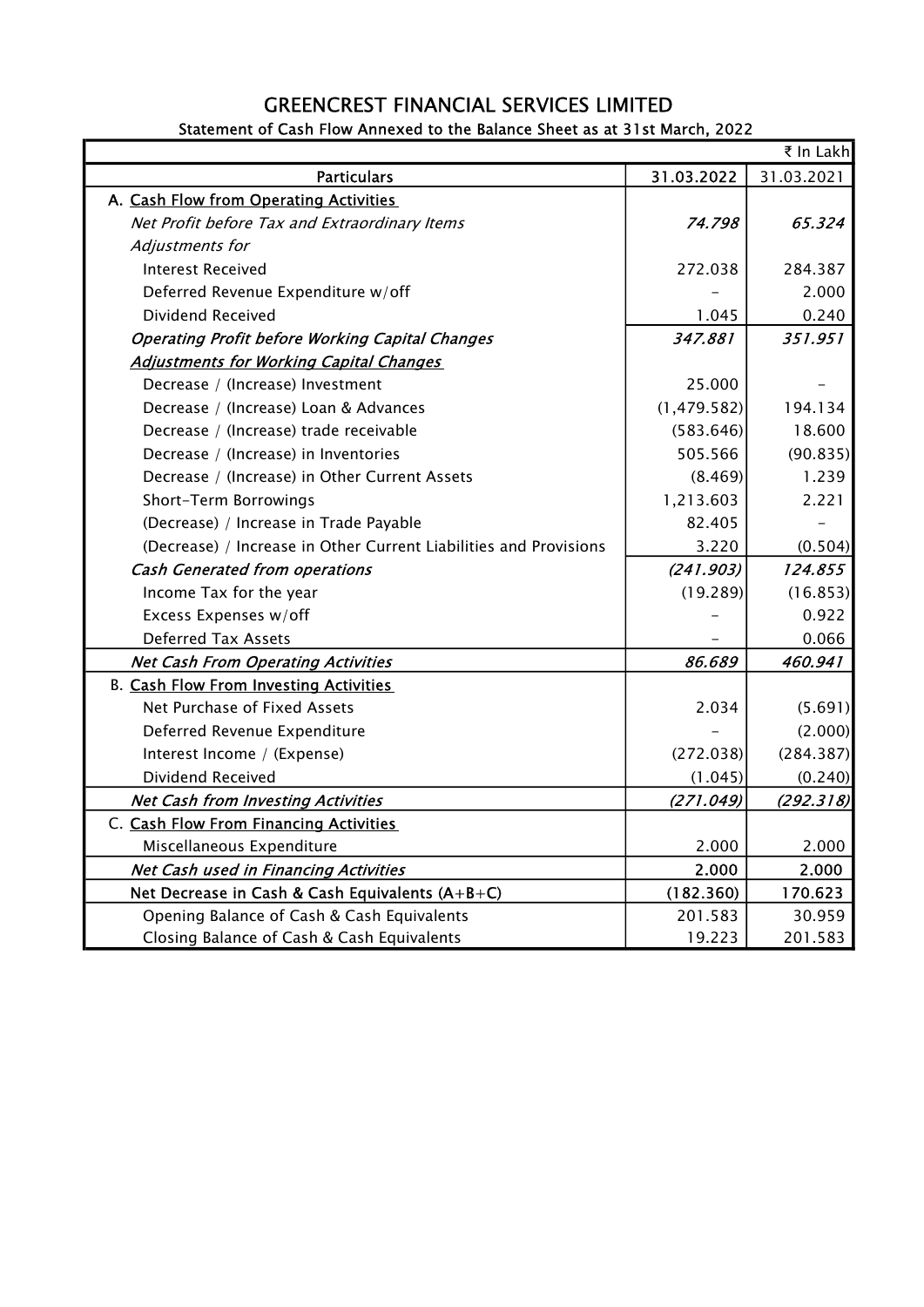## GREENCREST FINANCIAL SERVICES LIMITED

|                                                                   |              | ₹ In Lakh  |
|-------------------------------------------------------------------|--------------|------------|
| <b>Particulars</b>                                                | 31.03.2022   | 31.03.2021 |
| A. Cash Flow from Operating Activities                            |              |            |
| Net Profit before Tax and Extraordinary Items                     | 74.798       | 65.324     |
| Adjustments for                                                   |              |            |
| <b>Interest Received</b>                                          | 272.038      | 284.387    |
| Deferred Revenue Expenditure w/off                                |              | 2.000      |
| Dividend Received                                                 | 1.045        | 0.240      |
| <b>Operating Profit before Working Capital Changes</b>            | 347.881      | 351.951    |
| <b>Adjustments for Working Capital Changes</b>                    |              |            |
| Decrease / (Increase) Investment                                  | 25.000       |            |
| Decrease / (Increase) Loan & Advances                             | (1, 479.582) | 194.134    |
| Decrease / (Increase) trade receivable                            | (583.646)    | 18.600     |
| Decrease / (Increase) in Inventories                              | 505.566      | (90.835)   |
| Decrease / (Increase) in Other Current Assets                     | (8.469)      | 1.239      |
| Short-Term Borrowings                                             | 1,213.603    | 2.221      |
| (Decrease) / Increase in Trade Payable                            | 82.405       |            |
| (Decrease) / Increase in Other Current Liabilities and Provisions | 3.220        | (0.504)    |
| <b>Cash Generated from operations</b>                             | (241.903)    | 124.855    |
| Income Tax for the year                                           | (19.289)     | (16.853)   |
| Excess Expenses w/off                                             |              | 0.922      |
| <b>Deferred Tax Assets</b>                                        |              | 0.066      |
| <b>Net Cash From Operating Activities</b>                         | 86.689       | 460.941    |
| <b>B. Cash Flow From Investing Activities</b>                     |              |            |
| Net Purchase of Fixed Assets                                      | 2.034        | (5.691)    |
| Deferred Revenue Expenditure                                      |              | (2.000)    |
| Interest Income / (Expense)                                       | (272.038)    | (284.387)  |
| Dividend Received                                                 | (1.045)      | (0.240)    |
| <b>Net Cash from Investing Activities</b>                         | (271.049)    | (292.318)  |
| C. Cash Flow From Financing Activities                            |              |            |
| Miscellaneous Expenditure                                         | 2.000        | 2.000      |
| Net Cash used in Financing Activities                             | 2.000        | 2.000      |
| Net Decrease in Cash & Cash Equivalents (A+B+C)                   | (182.360)    | 170.623    |
| Opening Balance of Cash & Cash Equivalents                        | 201.583      | 30.959     |
| Closing Balance of Cash & Cash Equivalents                        | 19.223       | 201.583    |

Statement of Cash Flow Annexed to the Balance Sheet as at 31st March, 2022